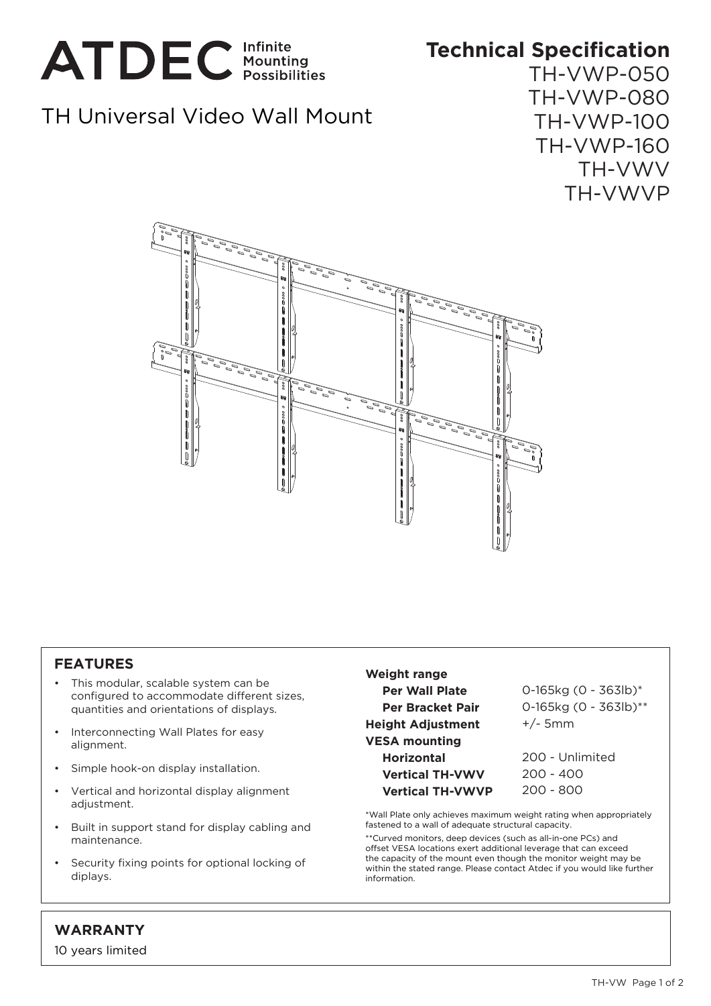

## **Technical Specification**

## TH Universal Video Wall Mount

TH-VWP-050 TH-VWP-080 TH-VWP-100 TH-VWP-160 TH-VWV TH-VWVP



## **FEATURES**

- This modular, scalable system can be configured to accommodate different sizes, quantities and orientations of displays.
- Interconnecting Wall Plates for easy alignment.
- Simple hook-on display installation.
- Vertical and horizontal display alignment adjustment.
- Built in support stand for display cabling and maintenance.
- Security fixing points for optional locking of diplays.

**Weight range Per Wall Plate Per Bracket Pair Height Adjustment VESA mounting Horizontal Vertical TH-VWV Vertical TH-VWVP**

0-165kg (0 - 363lb)\* 0-165kg (0 - 363lb)\*\* +/- 5mm

200 - Unlimited 200 - 400 200 - 800

\*Wall Plate only achieves maximum weight rating when appropriately fastened to a wall of adequate structural capacity.

\*\*Curved monitors, deep devices (such as all-in-one PCs) and offset VESA locations exert additional leverage that can exceed the capacity of the mount even though the monitor weight may be within the stated range. Please contact Atdec if you would like further information.

## **WARRANTY**

10 years limited